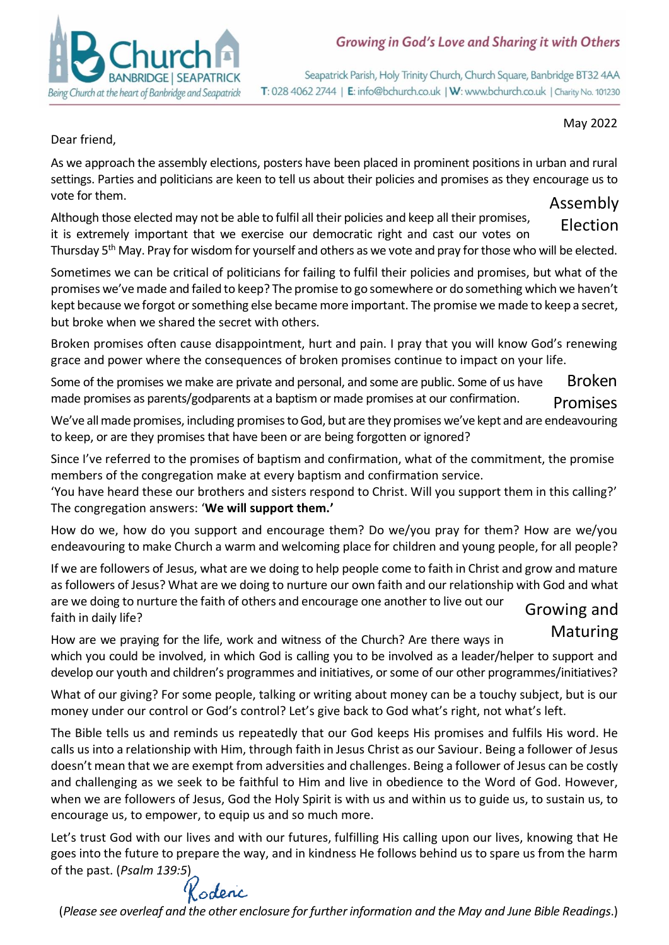

Seapatrick Parish, Holy Trinity Church, Church Square, Banbridge BT32 4AA T: 028 4062 2744 | E: info@bchurch.co.uk | W: www.bchurch.co.uk | Charity No. 101230

#### May 2022

Dear friend,

As we approach the assembly elections, posters have been placed in prominent positions in urban and rural settings. Parties and politicians are keen to tell us about their policies and promises as they encourage us to vote for them. Assembly

Although those elected may not be able to fulfil all their policies and keep all their promises, it is extremely important that we exercise our democratic right and cast our votes on Election

Thursday 5<sup>th</sup> May. Pray for wisdom for yourself and others as we vote and pray for those who will be elected.

Sometimes we can be critical of politicians for failing to fulfil their policies and promises, but what of the promises we've made and failed to keep? The promise to go somewhere or do something which we haven't kept because we forgot or something else became more important. The promise we made to keep a secret, but broke when we shared the secret with others.

Broken promises often cause disappointment, hurt and pain. I pray that you will know God's renewing grace and power where the consequences of broken promises continue to impact on your life.

Some of the promises we make are private and personal, and some are public. Some of us have made promises as parents/godparents at a baptism or made promises at our confirmation. Broken **Promises** 

We've all made promises, including promises to God, but are they promises we've kept and are endeavouring with the state of the state of the state of the state of the state of the state of the state of the state of the sta to keep, or are they promises that have been or are being forgotten or ignored?

Since I've referred to the promises of baptism and confirmation, what of the commitment, the promise members of the congregation make at every baptism and confirmation service.

'You have heard these our brothers and sisters respond to Christ. Will you support them in this calling?' The congregation answers: '**We will support them.'**

How do we, how do you support and encourage them? Do we/you pray for them? How are we/you endeavouring to make Church a warm and welcoming place for children and young people, for all people?

If we are followers of Jesus, what are we doing to help people come to faith in Christ and grow and mature as followers of Jesus? What are we doing to nurture our own faith and our relationship with God and what are we doing to nurture the faith of others and encourage one another to live out our faith in daily life? Growing and

How are we praying for the life, work and witness of the Church? Are there ways in which you could be involved, in which God is calling you to be involved as a leader/helper to support and develop our youth and children's programmes and initiatives, or some of our other programmes/initiatives? Maturing

What of our giving? For some people, talking or writing about money can be a touchy subject, but is our money under our control or God's control? Let's give back to God what's right, not what's left.

The Bible tells us and reminds us repeatedly that our God keeps His promises and fulfils His word. He calls us into a relationship with Him, through faith in Jesus Christ as our Saviour. Being a follower of Jesus doesn't mean that we are exempt from adversities and challenges. Being a follower of Jesus can be costly and challenging as we seek to be faithful to Him and live in obedience to the Word of God. However, when we are followers of Jesus, God the Holy Spirit is with us and within us to guide us, to sustain us, to encourage us, to empower, to equip us and so much more.

Let's trust God with our lives and with our futures, fulfilling His calling upon our lives, knowing that He goes into the future to prepare the way, and in kindness He follows behind us to spare us from the harm of the past. (*Psalm 139:5*)

Kodenc

(*Please see overleaf and the other enclosure for further information and the May and June Bible Readings*.)